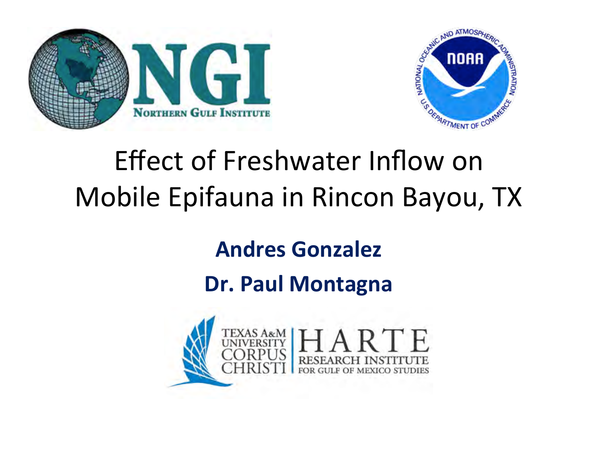



### Effect of Freshwater Inflow on Mobile Epifauna in Rincon Bayou, TX

#### **Andres Gonzalez**

#### Dr. Paul Montagna

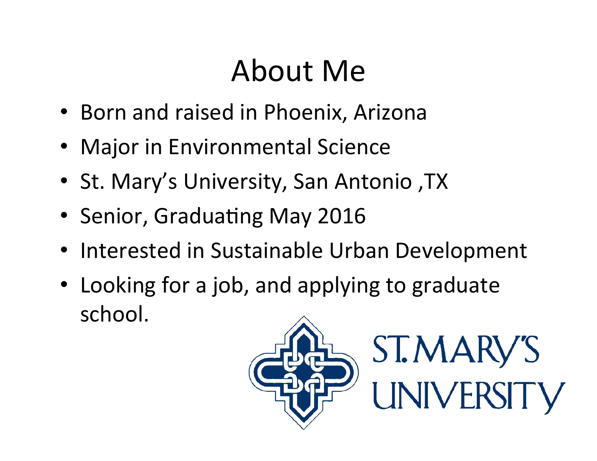# About Me

- Born and raised in Phoenix, Arizona
- Major in Environmental Science
- St. Mary's University, San Antonio, TX
- Senior, Graduating May 2016
- Interested in Sustainable Urban Development
- Looking for a job, and applying to graduate school.

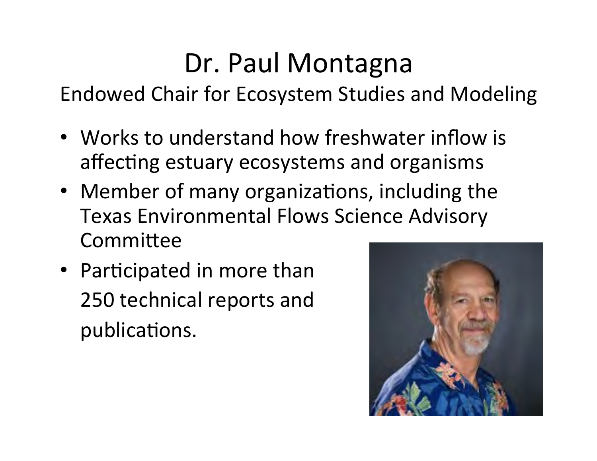### Dr. Paul Montagna

Endowed Chair for Ecosystem Studies and Modeling

- Works to understand how freshwater inflow is affecting estuary ecosystems and organisms
- Member of many organizations, including the Texas Environmental Flows Science Advisory Committee
- Participated in more than 250 technical reports and publications.

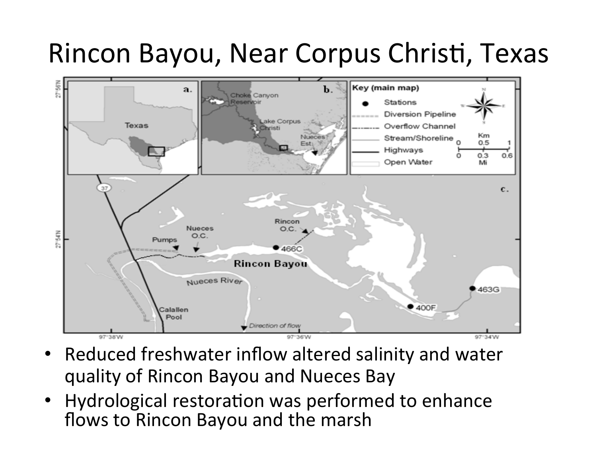### Rincon Bayou, Near Corpus Christi, Texas



- Reduced freshwater inflow altered salinity and water quality of Rincon Bayou and Nueces Bay
- Hydrological restoration was performed to enhance flows to Rincon Bayou and the marsh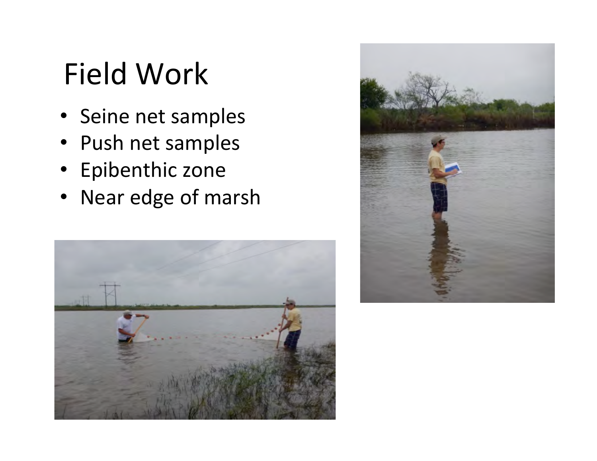# Field Work

- Seine net samples
- Push net samples
- Epibenthic zone
- Near edge of marsh



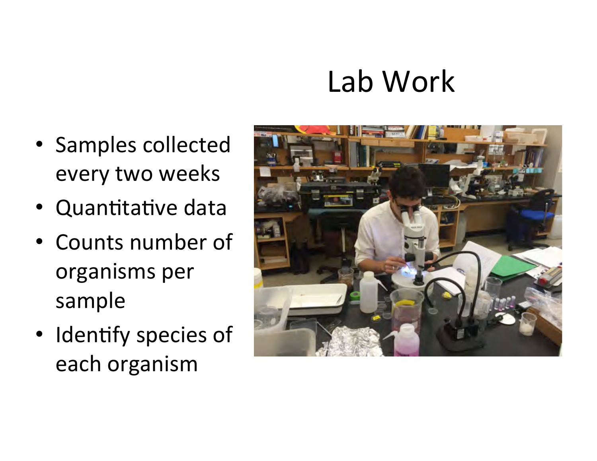# Lab Work

- Samples collected every two weeks
- Quantitative data
- Counts number of organisms per sample
- Identify species of each organism

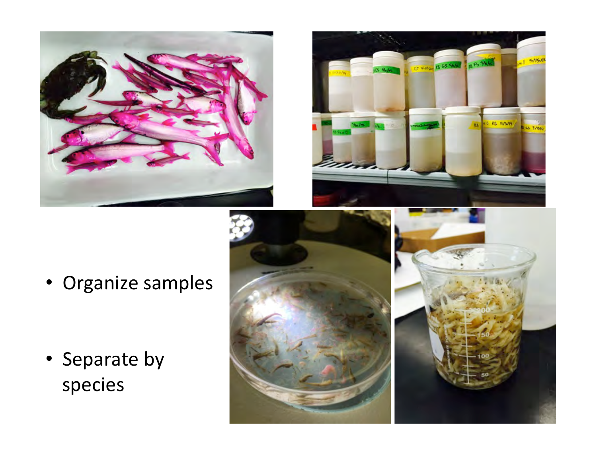



• Organize samples

• Separate by species 



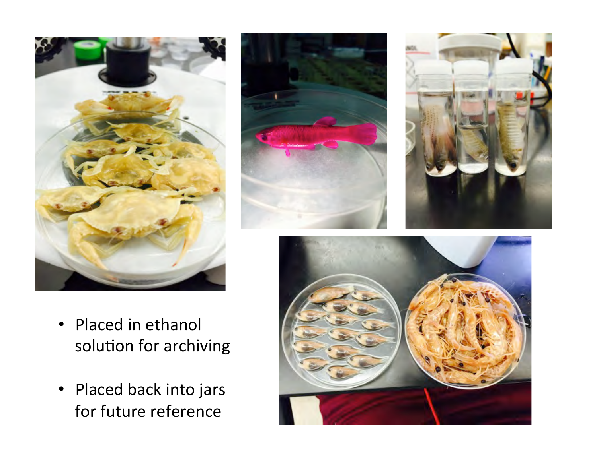





- Placed in ethanol solution for archiving
- Placed back into jars for future reference

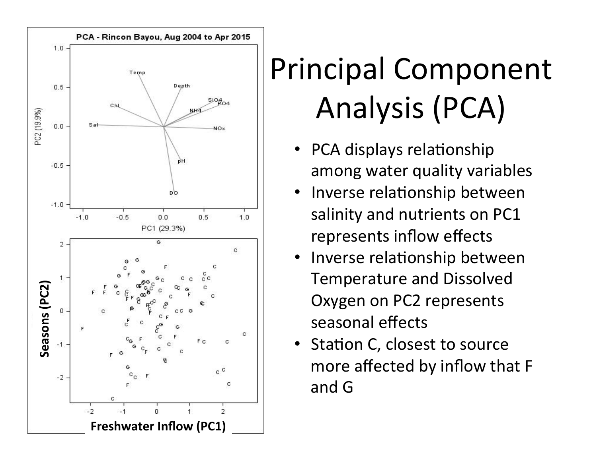

# Principal Component Analysis (PCA)

- PCA displays relationship among water quality variables
- Inverse relationship between salinity and nutrients on PC1 represents inflow effects
- Inverse relationship between Temperature and Dissolved Oxygen on PC2 represents seasonal effects
- Station C, closest to source more affected by inflow that F and G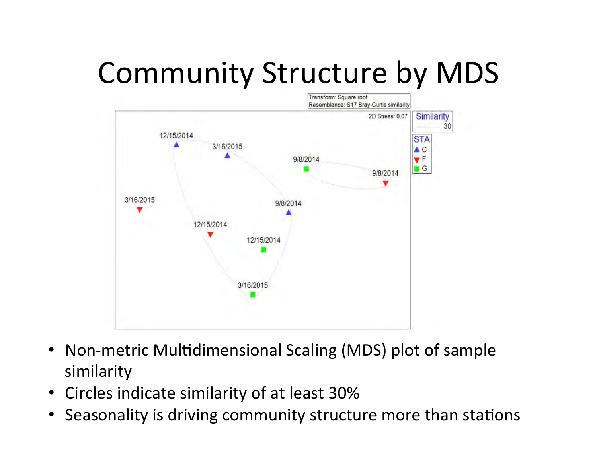# Community Structure by MDS



- Non-metric Multidimensional Scaling (MDS) plot of sample similarity
- Circles indicate similarity of at least 30%
- Seasonality is driving community structure more than stations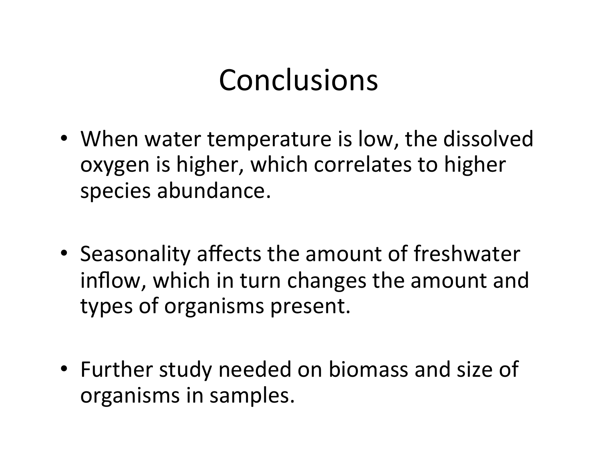### Conclusions

- When water temperature is low, the dissolved oxygen is higher, which correlates to higher species abundance.
- Seasonality affects the amount of freshwater inflow, which in turn changes the amount and types of organisms present.
- Further study needed on biomass and size of organisms in samples.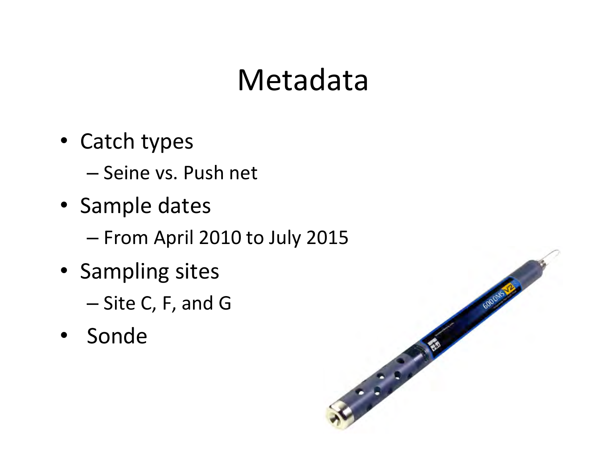### Metadata

- Catch types
	- Seine vs. Push net
- Sample dates
	- From April 2010 to July 2015
- Sampling sites
	- Site C, F, and G
- Sonde

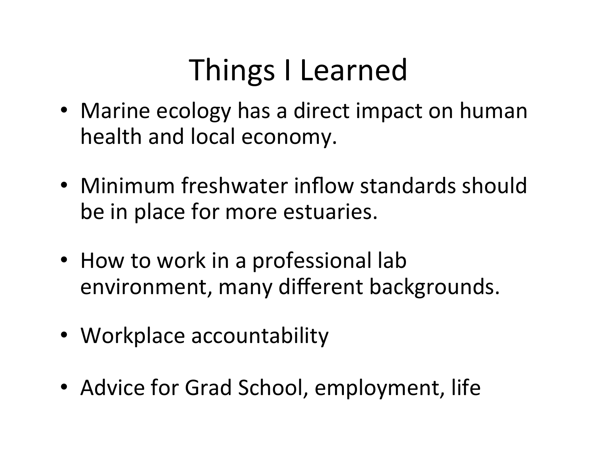# Things I Learned

- Marine ecology has a direct impact on human health and local economy.
- Minimum freshwater inflow standards should be in place for more estuaries.
- How to work in a professional lab environment, many different backgrounds.
- Workplace accountability
- Advice for Grad School, employment, life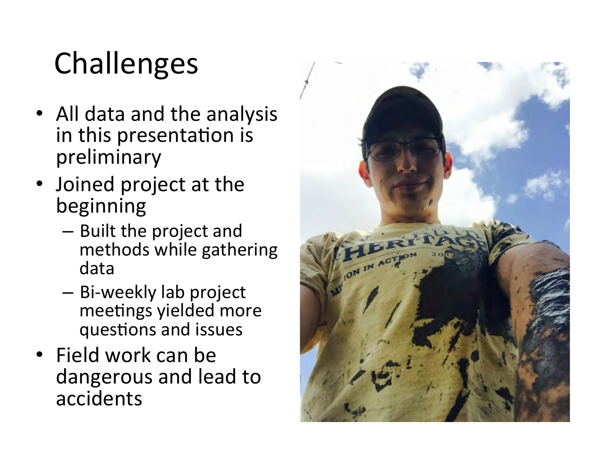# Challenges

- All data and the analysis in this presentation is preliminary
- Joined project at the beginning
	- Built the project and methods while gathering data
	- Bi-weekly lab project meetings yielded more questions and issues
- Field work can be dangerous and lead to accidents

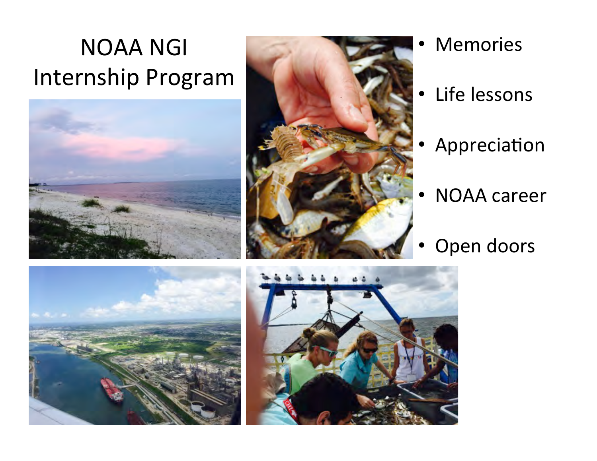### NOAA NGI Internship Program





- **Memories**
- Life lessons
- **Appreciation**
- **NOAA** career
- Open doors